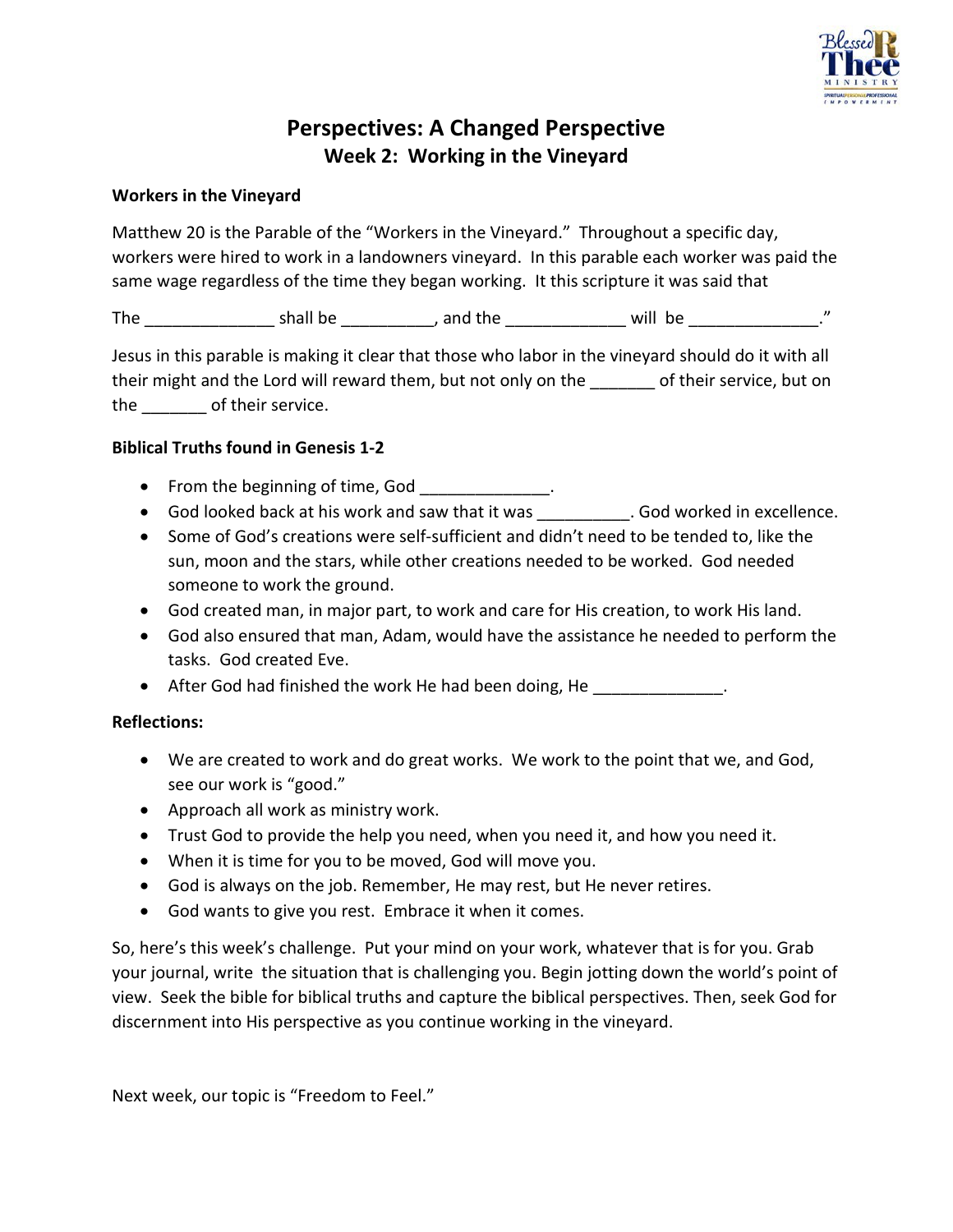

# **Perspectives: A Changed Perspective Week 2: Working in the Vineyard**

## **Workers in the Vineyard**

Matthew 20 is the Parable of the "Workers in the Vineyard." Throughout a specific day, workers were hired to work in a landowners vineyard. In this parable each worker was paid the same wage regardless of the time they began working. It this scripture it was said that

The \_\_\_\_\_\_\_\_\_\_\_\_\_\_ shall be \_\_\_\_\_\_\_\_\_\_, and the \_\_\_\_\_\_\_\_\_\_\_\_\_ will be \_\_\_\_\_\_\_\_\_\_\_\_\_\_."

Jesus in this parable is making it clear that those who labor in the vineyard should do it with all their might and the Lord will reward them, but not only on the \_\_\_\_\_\_\_ of their service, but on the of their service.

## **Biblical Truths found in Genesis 1-2**

- From the beginning of time, God \_\_\_\_\_\_\_\_\_\_\_\_\_.
- God looked back at his work and saw that it was . God worked in excellence.
- Some of God's creations were self-sufficient and didn't need to be tended to, like the sun, moon and the stars, while other creations needed to be worked. God needed someone to work the ground.
- God created man, in major part, to work and care for His creation, to work His land.
- God also ensured that man, Adam, would have the assistance he needed to perform the tasks. God created Eve.
- After God had finished the work He had been doing, He \_\_\_\_\_\_\_\_\_\_\_\_\_.

## **Reflections:**

- We are created to work and do great works. We work to the point that we, and God, see our work is "good."
- Approach all work as ministry work.
- Trust God to provide the help you need, when you need it, and how you need it.
- When it is time for you to be moved, God will move you.
- God is always on the job. Remember, He may rest, but He never retires.
- God wants to give you rest. Embrace it when it comes.

So, here's this week's challenge. Put your mind on your work, whatever that is for you. Grab your journal, write the situation that is challenging you. Begin jotting down the world's point of view. Seek the bible for biblical truths and capture the biblical perspectives. Then, seek God for discernment into His perspective as you continue working in the vineyard.

Next week, our topic is "Freedom to Feel."